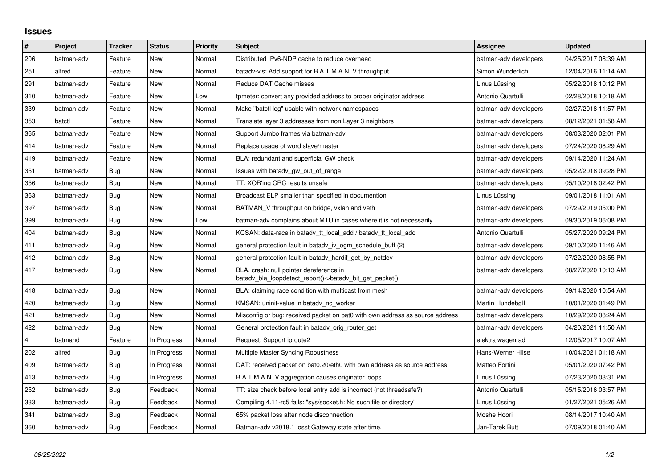## **Issues**

| $\vert$ # | Project    | <b>Tracker</b> | <b>Status</b> | <b>Priority</b> | <b>Subject</b>                                                                                     | Assignee              | <b>Updated</b>      |
|-----------|------------|----------------|---------------|-----------------|----------------------------------------------------------------------------------------------------|-----------------------|---------------------|
| 206       | batman-adv | Feature        | New           | Normal          | Distributed IPv6-NDP cache to reduce overhead                                                      | batman-adv developers | 04/25/2017 08:39 AM |
| 251       | alfred     | Feature        | <b>New</b>    | Normal          | batady-vis: Add support for B.A.T.M.A.N. V throughput                                              | Simon Wunderlich      | 12/04/2016 11:14 AM |
| 291       | batman-adv | Feature        | New           | Normal          | Reduce DAT Cache misses                                                                            | Linus Lüssing         | 05/22/2018 10:12 PM |
| 310       | batman-adv | Feature        | New           | Low             | tpmeter: convert any provided address to proper originator address                                 | Antonio Quartulli     | 02/28/2018 10:18 AM |
| 339       | batman-adv | Feature        | New           | Normal          | Make "batctl log" usable with network namespaces                                                   | batman-adv developers | 02/27/2018 11:57 PM |
| 353       | batctl     | Feature        | New           | Normal          | Translate layer 3 addresses from non Layer 3 neighbors                                             | batman-adv developers | 08/12/2021 01:58 AM |
| 365       | batman-adv | Feature        | <b>New</b>    | Normal          | Support Jumbo frames via batman-adv                                                                | batman-adv developers | 08/03/2020 02:01 PM |
| 414       | batman-adv | Feature        | New           | Normal          | Replace usage of word slave/master                                                                 | batman-adv developers | 07/24/2020 08:29 AM |
| 419       | batman-adv | Feature        | <b>New</b>    | Normal          | BLA: redundant and superficial GW check                                                            | batman-adv developers | 09/14/2020 11:24 AM |
| 351       | batman-adv | Bug            | New           | Normal          | Issues with batady gw_out_of_range                                                                 | batman-adv developers | 05/22/2018 09:28 PM |
| 356       | batman-adv | Bug            | New           | Normal          | TT: XOR'ing CRC results unsafe                                                                     | batman-adv developers | 05/10/2018 02:42 PM |
| 363       | batman-adv | Bug            | New           | Normal          | Broadcast ELP smaller than specified in documention                                                | Linus Lüssing         | 09/01/2018 11:01 AM |
| 397       | batman-adv | Bug            | New           | Normal          | BATMAN_V throughput on bridge, vxlan and veth                                                      | batman-adv developers | 07/29/2019 05:00 PM |
| 399       | batman-adv | Bug            | New           | Low             | batman-adv complains about MTU in cases where it is not necessarily.                               | batman-adv developers | 09/30/2019 06:08 PM |
| 404       | batman-adv | Bug            | <b>New</b>    | Normal          | KCSAN: data-race in batady tt local add / batady tt local add                                      | Antonio Quartulli     | 05/27/2020 09:24 PM |
| 411       | batman-adv | Bug            | New           | Normal          | general protection fault in batady iv ogm schedule buff (2)                                        | batman-adv developers | 09/10/2020 11:46 AM |
| 412       | batman-adv | Bug            | <b>New</b>    | Normal          | general protection fault in batady hardif get by netdev                                            | batman-adv developers | 07/22/2020 08:55 PM |
| 417       | batman-adv | Bug            | New           | Normal          | BLA, crash: null pointer dereference in<br>batadv_bla_loopdetect_report()->batadv_bit_get_packet() | batman-adv developers | 08/27/2020 10:13 AM |
| 418       | batman-adv | Bug            | <b>New</b>    | Normal          | BLA: claiming race condition with multicast from mesh                                              | batman-adv developers | 09/14/2020 10:54 AM |
| 420       | batman-adv | Bug            | <b>New</b>    | Normal          | KMSAN: uninit-value in batady_nc_worker                                                            | Martin Hundebøll      | 10/01/2020 01:49 PM |
| 421       | batman-adv | Bug            | <b>New</b>    | Normal          | Misconfig or bug: received packet on bat0 with own address as source address                       | batman-adv developers | 10/29/2020 08:24 AM |
| 422       | batman-adv | Bug            | <b>New</b>    | Normal          | General protection fault in batady orig router get                                                 | batman-adv developers | 04/20/2021 11:50 AM |
| 4         | batmand    | Feature        | In Progress   | Normal          | Request: Support iproute2                                                                          | elektra wagenrad      | 12/05/2017 10:07 AM |
| 202       | alfred     | Bug            | In Progress   | Normal          | Multiple Master Syncing Robustness                                                                 | Hans-Werner Hilse     | 10/04/2021 01:18 AM |
| 409       | batman-adv | Bug            | In Progress   | Normal          | DAT: received packet on bat0.20/eth0 with own address as source address                            | Matteo Fortini        | 05/01/2020 07:42 PM |
| 413       | batman-adv | Bug            | In Progress   | Normal          | B.A.T.M.A.N. V aggregation causes originator loops                                                 | Linus Lüssing         | 07/23/2020 03:31 PM |
| 252       | batman-adv | Bug            | Feedback      | Normal          | TT: size check before local entry add is incorrect (not threadsafe?)                               | Antonio Quartulli     | 05/15/2016 03:57 PM |
| 333       | batman-adv | Bug            | Feedback      | Normal          | Compiling 4.11-rc5 fails: "sys/socket.h: No such file or directory"                                | Linus Lüssing         | 01/27/2021 05:26 AM |
| 341       | batman-adv | Bug            | Feedback      | Normal          | 65% packet loss after node disconnection                                                           | Moshe Hoori           | 08/14/2017 10:40 AM |
| 360       | batman-adv | Bug            | Feedback      | Normal          | Batman-adv v2018.1 losst Gateway state after time.                                                 | Jan-Tarek Butt        | 07/09/2018 01:40 AM |